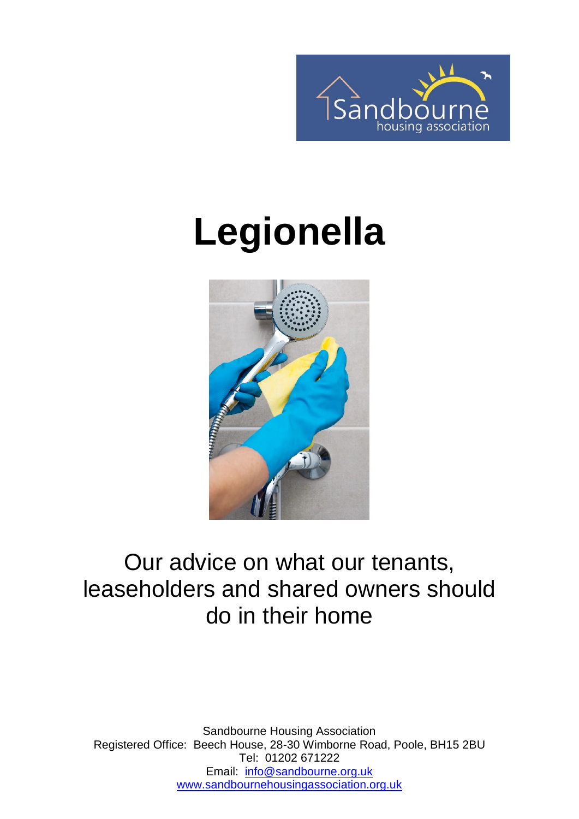

# **Legionella**



#### Our advice on what our tenants, leaseholders and shared owners should do in their home

Sandbourne Housing Association Registered Office: Beech House, 28-30 Wimborne Road, Poole, BH15 2BU Tel: 01202 671222 Email: [info@sandbourne.org.uk](mailto:info@sandbourne.org.uk) [www.sandbournehousingassociation.org.uk](http://www.sandbournehousingassociation.org.uk/)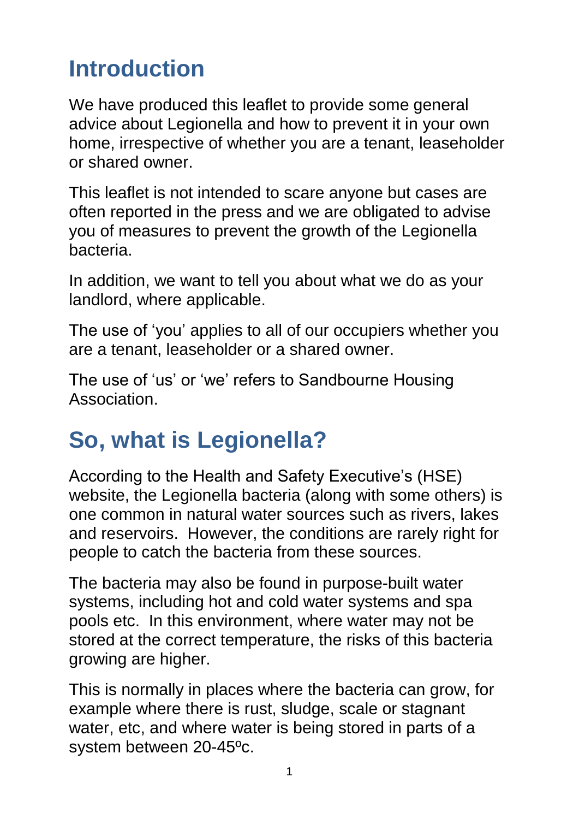# **Introduction**

We have produced this leaflet to provide some general advice about Legionella and how to prevent it in your own home, irrespective of whether you are a tenant, leaseholder or shared owner.

This leaflet is not intended to scare anyone but cases are often reported in the press and we are obligated to advise you of measures to prevent the growth of the Legionella bacteria.

In addition, we want to tell you about what we do as your landlord, where applicable.

The use of 'you' applies to all of our occupiers whether you are a tenant, leaseholder or a shared owner.

The use of 'us' or 'we' refers to Sandbourne Housing Association.

# **So, what is Legionella?**

According to the Health and Safety Executive's (HSE) website, the Legionella bacteria (along with some others) is one common in natural water sources such as rivers, lakes and reservoirs. However, the conditions are rarely right for people to catch the bacteria from these sources.

The bacteria may also be found in purpose-built water systems, including hot and cold water systems and spa pools etc. In this environment, where water may not be stored at the correct temperature, the risks of this bacteria growing are higher.

This is normally in places where the bacteria can grow, for example where there is rust, sludge, scale or stagnant water, etc, and where water is being stored in parts of a system between 20-45ºc.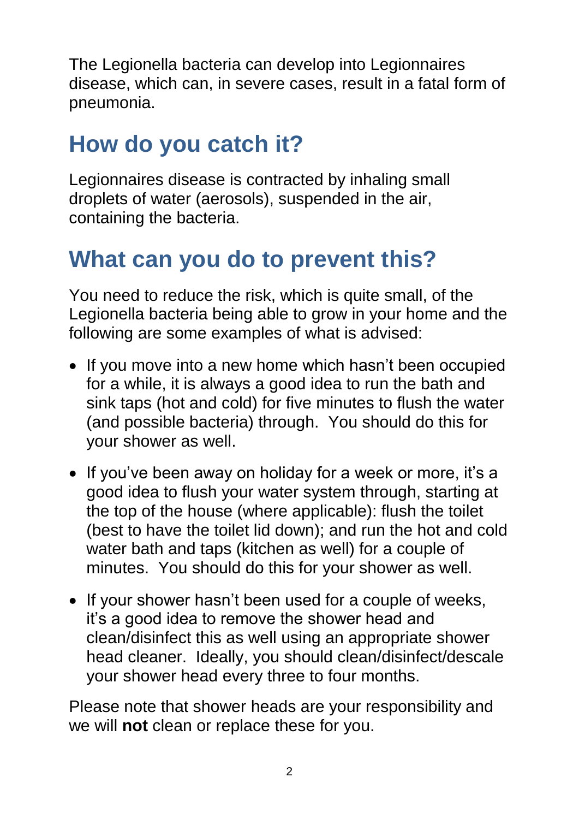The Legionella bacteria can develop into Legionnaires disease, which can, in severe cases, result in a fatal form of pneumonia.

## **How do you catch it?**

Legionnaires disease is contracted by inhaling small droplets of water (aerosols), suspended in the air, containing the bacteria.

## **What can you do to prevent this?**

You need to reduce the risk, which is quite small, of the Legionella bacteria being able to grow in your home and the following are some examples of what is advised:

- If you move into a new home which hasn't been occupied for a while, it is always a good idea to run the bath and sink taps (hot and cold) for five minutes to flush the water (and possible bacteria) through. You should do this for your shower as well.
- If you've been away on holiday for a week or more, it's a good idea to flush your water system through, starting at the top of the house (where applicable): flush the toilet (best to have the toilet lid down); and run the hot and cold water bath and taps (kitchen as well) for a couple of minutes. You should do this for your shower as well.
- If your shower hasn't been used for a couple of weeks, it's a good idea to remove the shower head and clean/disinfect this as well using an appropriate shower head cleaner. Ideally, you should clean/disinfect/descale your shower head every three to four months.

Please note that shower heads are your responsibility and we will **not** clean or replace these for you.